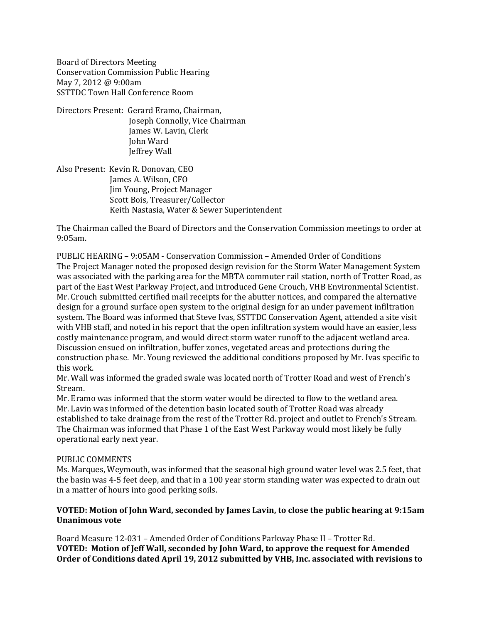Board of Directors Meeting Conservation Commission Public Hearing May 7, 2012 @ 9:00am SSTTDC Town Hall Conference Room

Directors Present: Gerard Eramo, Chairman, Joseph Connolly, Vice Chairman James W. Lavin, Clerk John Ward Jeffrey Wall

Also Present: Kevin R. Donovan, CEO James A. Wilson, CFO Jim Young, Project Manager Scott Bois, Treasurer/Collector Keith Nastasia, Water & Sewer Superintendent

The Chairman called the Board of Directors and the Conservation Commission meetings to order at 9:05am.

PUBLIC HEARING – 9:05AM - Conservation Commission – Amended Order of Conditions The Project Manager noted the proposed design revision for the Storm Water Management System was associated with the parking area for the MBTA commuter rail station, north of Trotter Road, as part of the East West Parkway Project, and introduced Gene Crouch, VHB Environmental Scientist. Mr. Crouch submitted certified mail receipts for the abutter notices, and compared the alternative design for a ground surface open system to the original design for an under pavement infiltration system. The Board was informed that Steve Ivas, SSTTDC Conservation Agent, attended a site visit with VHB staff, and noted in his report that the open infiltration system would have an easier, less costly maintenance program, and would direct storm water runoff to the adjacent wetland area. Discussion ensued on infiltration, buffer zones, vegetated areas and protections during the construction phase. Mr. Young reviewed the additional conditions proposed by Mr. Ivas specific to this work.

Mr. Wall was informed the graded swale was located north of Trotter Road and west of French's Stream.

Mr. Eramo was informed that the storm water would be directed to flow to the wetland area. Mr. Lavin was informed of the detention basin located south of Trotter Road was already established to take drainage from the rest of the Trotter Rd. project and outlet to French's Stream. The Chairman was informed that Phase 1 of the East West Parkway would most likely be fully operational early next year.

## PUBLIC COMMENTS

Ms. Marques, Weymouth, was informed that the seasonal high ground water level was 2.5 feet, that the basin was 4-5 feet deep, and that in a 100 year storm standing water was expected to drain out in a matter of hours into good perking soils.

# **VOTED: Motion of John Ward, seconded by James Lavin, to close the public hearing at 9:15am Unanimous vote**

Board Measure 12-031 – Amended Order of Conditions Parkway Phase II – Trotter Rd. **VOTED: Motion of Jeff Wall, seconded by John Ward, to approve the request for Amended Order of Conditions dated April 19, 2012 submitted by VHB, Inc. associated with revisions to**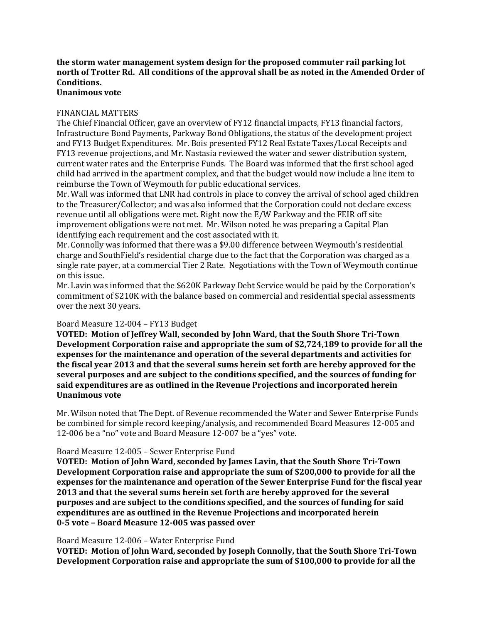# **the storm water management system design for the proposed commuter rail parking lot north of Trotter Rd. All conditions of the approval shall be as noted in the Amended Order of Conditions.**

# **Unanimous vote**

## FINANCIAL MATTERS

The Chief Financial Officer, gave an overview of FY12 financial impacts, FY13 financial factors, Infrastructure Bond Payments, Parkway Bond Obligations, the status of the development project and FY13 Budget Expenditures. Mr. Bois presented FY12 Real Estate Taxes/Local Receipts and FY13 revenue projections, and Mr. Nastasia reviewed the water and sewer distribution system, current water rates and the Enterprise Funds. The Board was informed that the first school aged child had arrived in the apartment complex, and that the budget would now include a line item to reimburse the Town of Weymouth for public educational services.

Mr. Wall was informed that LNR had controls in place to convey the arrival of school aged children to the Treasurer/Collector; and was also informed that the Corporation could not declare excess revenue until all obligations were met. Right now the E/W Parkway and the FEIR off site improvement obligations were not met. Mr. Wilson noted he was preparing a Capital Plan identifying each requirement and the cost associated with it.

Mr. Connolly was informed that there was a \$9.00 difference between Weymouth's residential charge and SouthField's residential charge due to the fact that the Corporation was charged as a single rate payer, at a commercial Tier 2 Rate. Negotiations with the Town of Weymouth continue on this issue.

Mr. Lavin was informed that the \$620K Parkway Debt Service would be paid by the Corporation's commitment of \$210K with the balance based on commercial and residential special assessments over the next 30 years.

## Board Measure 12-004 – FY13 Budget

**VOTED: Motion of Jeffrey Wall, seconded by John Ward, that the South Shore Tri-Town Development Corporation raise and appropriate the sum of \$2,724,189 to provide for all the expenses for the maintenance and operation of the several departments and activities for the fiscal year 2013 and that the several sums herein set forth are hereby approved for the several purposes and are subject to the conditions specified, and the sources of funding for said expenditures are as outlined in the Revenue Projections and incorporated herein Unanimous vote**

Mr. Wilson noted that The Dept. of Revenue recommended the Water and Sewer Enterprise Funds be combined for simple record keeping/analysis, and recommended Board Measures 12-005 and 12-006 be a "no" vote and Board Measure 12-007 be a "yes" vote.

## Board Measure 12-005 – Sewer Enterprise Fund

**VOTED: Motion of John Ward, seconded by James Lavin, that the South Shore Tri-Town Development Corporation raise and appropriate the sum of \$200,000 to provide for all the expenses for the maintenance and operation of the Sewer Enterprise Fund for the fiscal year 2013 and that the several sums herein set forth are hereby approved for the several purposes and are subject to the conditions specified, and the sources of funding for said expenditures are as outlined in the Revenue Projections and incorporated herein 0-5 vote – Board Measure 12-005 was passed over**

#### Board Measure 12-006 – Water Enterprise Fund

**VOTED: Motion of John Ward, seconded by Joseph Connolly, that the South Shore Tri-Town Development Corporation raise and appropriate the sum of \$100,000 to provide for all the**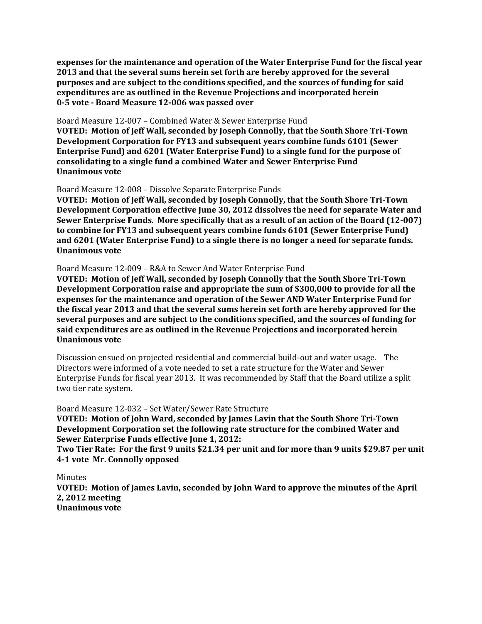**expenses for the maintenance and operation of the Water Enterprise Fund for the fiscal year 2013 and that the several sums herein set forth are hereby approved for the several purposes and are subject to the conditions specified, and the sources of funding for said expenditures are as outlined in the Revenue Projections and incorporated herein 0-5 vote - Board Measure 12-006 was passed over**

#### Board Measure 12-007 – Combined Water & Sewer Enterprise Fund

**VOTED: Motion of Jeff Wall, seconded by Joseph Connolly, that the South Shore Tri-Town Development Corporation for FY13 and subsequent years combine funds 6101 (Sewer Enterprise Fund) and 6201 (Water Enterprise Fund) to a single fund for the purpose of consolidating to a single fund a combined Water and Sewer Enterprise Fund Unanimous vote**

#### Board Measure 12-008 – Dissolve Separate Enterprise Funds

**VOTED: Motion of Jeff Wall, seconded by Joseph Connolly, that the South Shore Tri-Town Development Corporation effective June 30, 2012 dissolves the need for separate Water and Sewer Enterprise Funds. More specifically that as a result of an action of the Board (12-007) to combine for FY13 and subsequent years combine funds 6101 (Sewer Enterprise Fund) and 6201 (Water Enterprise Fund) to a single there is no longer a need for separate funds. Unanimous vote**

#### Board Measure 12-009 – R&A to Sewer And Water Enterprise Fund

**VOTED: Motion of Jeff Wall, seconded by Joseph Connolly that the South Shore Tri-Town Development Corporation raise and appropriate the sum of \$300,000 to provide for all the expenses for the maintenance and operation of the Sewer AND Water Enterprise Fund for the fiscal year 2013 and that the several sums herein set forth are hereby approved for the several purposes and are subject to the conditions specified, and the sources of funding for said expenditures are as outlined in the Revenue Projections and incorporated herein Unanimous vote**

Discussion ensued on projected residential and commercial build-out and water usage. The Directors were informed of a vote needed to set a rate structure for the Water and Sewer Enterprise Funds for fiscal year 2013. It was recommended by Staff that the Board utilize a split two tier rate system.

Board Measure 12-032 – Set Water/Sewer Rate Structure

**VOTED: Motion of John Ward, seconded by James Lavin that the South Shore Tri-Town Development Corporation set the following rate structure for the combined Water and Sewer Enterprise Funds effective June 1, 2012:**

**Two Tier Rate: For the first 9 units \$21.34 per unit and for more than 9 units \$29.87 per unit 4-1 vote Mr. Connolly opposed**

Minutes

**VOTED: Motion of James Lavin, seconded by John Ward to approve the minutes of the April 2, 2012 meeting Unanimous vote**